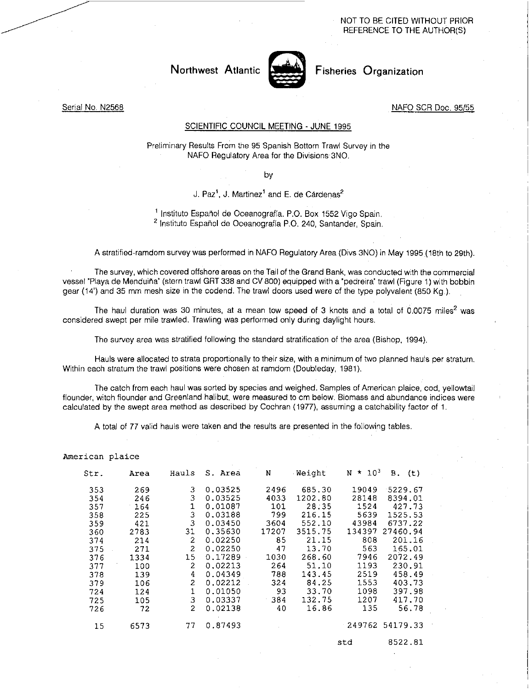NOT TO BE CITED WITHOUT PRIOR REFERENCE TO THE AUTHOR(S)

Northwest Atlantic



Fisheries Organization

## Serial No. N2568

### NAFO SCR Doc. 95/55

## SCIENTIFIC COUNCIL MEETING - JUNE 1995

Preliminary Results From the 95 Spanish Bottom Trawl Survey in the NAFO Regulatory Area for the Divisions 3NO.

by

# J. Paz<sup>1</sup>, J. Martinez<sup>1</sup> and E. de Cárdenas<sup>2</sup>

<sup>1</sup> Instituto Español de Oceanografía. P.O. Box 1552 Vigo Spain. <sup>2</sup> Instituto Español de Oceanografía P.O. 240, Santander, Spain.

### A stratified-ramdom survey was performed in NAFO Regulatory Area (Divs 3NO) in May 1995 (18th to 29th).

The survey, which covered offshore areas on the Tail of the Grand Bank, was conducted with the commercial vessel 'Playa de Menduina' (stern trawl GRT 338 and CV 800) equipped with a 'pedreira' trawl (Figure 1) with bobbin gear (14') and 35 mm mesh size in the codend. The trawl doors used were of the type polyvalent (850 Kg.).

The haul duration was 30 minutes, at a mean tow speed of 3 knots and a total of 0.0075 miles<sup>2</sup> was considered swept per mile trawled. Trawling was performed only during daylight hours.

The survey area was stratified following the standard stratification of the area (Bishop, 1994).

Hauls were allocated to strata proportionally to their size, with a minimum of two planned hauls per stratum. Within each stratum the trawl positions were chosen at ramdom (Doubleday, 1981).

The catch from each haul was sorted by species and weighed. Samples of American plaice, cod, yellowtail flounder, witch flounder and Greenland halibut, were measured to cm below. Biomass and abundance indices were calculated by the swept area method as described by Cochran (1977), assuming a catchability factor of 1.

A total of 77 valid hauls were taken and the results are presented in the following tables.

#### American plaice

| Str. | Area | Hauls                       | S. Area | N     | Weight  | $10^{3}$<br>N<br>★. | в.<br>(t)       |
|------|------|-----------------------------|---------|-------|---------|---------------------|-----------------|
| 353  | 269  | з                           | 0.03525 | 2496  | 685.30  | 19049               | 5229.67         |
| 354  | 246  | 3                           | 0.03525 | 4033  | 1202.80 | 28148               | 8394.01         |
| 357  | 164  |                             | 0.01087 | 101   | 28.35   | 1524                | 427.73          |
| 358  | 225  | 3                           | 0.03188 | 799   | 216.15  | 5639                | 1525.53         |
| 359  | 421  | 3                           | 0.03450 | 3604  | 552.10  | 43984               | 6737.22         |
| 360  | 2783 | 31                          | 0.35630 | 17207 | 3515.75 | 134397              | 27460.94        |
| 374  | 214  | 2                           | 0.02250 | 85    | 21.15   | 808                 | 201.16          |
| 375  | 271  | 2                           | 0.02250 | 47    | 13.70   | 563                 | 165.01          |
| 376  | 1334 | 15                          | 0.17289 | 1030  | 268.60  | 7946                | 2072.49         |
| 377  | 100  | 2                           | 0.02213 | 264   | 51.10   | 1193                | 230.91          |
| 378  | 139  | 4                           | 0.04349 | 788   | 143.45  | 2519                | 458.49          |
| 379  | 106  | 2                           | 0.02212 | 324   | 84.25   | 1553                | 403.73          |
| 724  | 124  | 1                           | 0.01050 | 93    | 33.70   | 1098                | 397.98          |
| 725  | 105  | 3                           | 0.03337 | 384   | 132.75  | 1207                | 417.70          |
| 726  | 72   | $\mathcal{D}_{\mathcal{L}}$ | 0.02138 | 40    | 16.86   | 135                 | 56.78           |
| 15   | 6573 | 77                          | 0.87493 |       |         |                     | 249762 54179.33 |

std 8522.81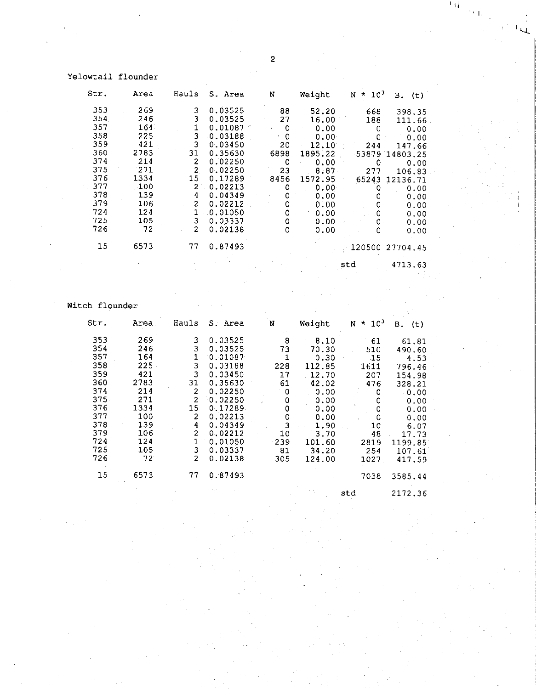## Yelowtail flounder

| Str.   | Area | Hauls          | S. Area | N          | Weight            | $\times 10^3$<br>N | В.<br>(t)       |
|--------|------|----------------|---------|------------|-------------------|--------------------|-----------------|
| 353    | 269  | 3              | 0.03525 | 88         | 52.20             | 668                | 398,35          |
| 354    | 246  | 3              | 0.03525 | 27         | 16.00             | 188                | 111.66          |
| 357    | 164. | 1              | 0.01087 | $^{\circ}$ | 0.00              | 0                  | 0.00            |
| $-358$ | 225  | 3              | 0.03188 | 0          | 0.00.             |                    | 0.00            |
| 359    | 421  | 3              | 0.03450 | 20         | 12.10             | 244                | 147.66          |
| 360    | 2783 | 31             | 0.35630 | 6898       | 1895.22           | 53879              | 14803.25        |
| 374    | 214  | $\mathbf{2}$   | 0.02250 | 0          | 0.00              | 0                  | 0.00            |
| 375    | 271  | $\overline{2}$ | 0.02250 | 23         | 8.87              | 277                | 106.83          |
| 376    | 1334 | 15             | 0.17289 | 8456       | 1572.95           | 65243              | 12136.71        |
| 377    | 100  | $\mathbf{2}$   | 0.02213 | 0          | 0.00 <sub>1</sub> | 0                  | 0.00            |
| 378    | 139  | 4              | 0.04349 | 0          | 0.00              |                    | 0.00            |
| 379    | 106  | $\overline{2}$ | 0.02212 | 0          | 0.00              |                    | 0.00            |
| 724    | 124  | $1^{\cdot}$    | 0.01050 | 0          | 0.00              | 0                  | 0.00            |
| 725    | 105  | 3              | 0.03337 | 0          | 0.00              | 0.                 | 0.00            |
| 726    | 72   | $\overline{2}$ | 0.02138 | ٥          | 0.00              | 0                  | 0.00            |
| 15     | 6573 | 77             | 0.87493 |            |                   |                    | 120500 27704.45 |
|        |      |                |         |            |                   | std                | 4713.63         |

# Witch flounder

| Str. | Area | Hauls          | S. Area | N                           | Weight | $\times 10^3$<br>N | В.<br>(t) |
|------|------|----------------|---------|-----------------------------|--------|--------------------|-----------|
| 353  | 269  | 3              | 0.03525 | 8                           | 8.10   | 61                 | 61.81     |
| 354  | 246  | 3              | 0.03525 | 73                          | 70.30  | 510                | 490.60    |
| 357  | 164  | 1              | 0.01087 | 1                           | 0.30   | 15                 | 4.53      |
| 358  | 225  | 3              | 0.03188 | 228                         | 112.85 | 1611               | 796.46    |
| 359  | 421  | 3              | 0.03450 | 17                          | 12.70  | 207                | 154.98    |
| 360  | 2783 | 31             | 0.35630 | 61                          | 42.02  | 476                | 328.21    |
| 374  | 214  | $\overline{2}$ | 0.02250 | 0                           | 0.00   | 0                  | 0.00      |
| 375  | 271  | $\overline{2}$ | 0.02250 | 0<br>$\mathcal{L}^{\prime}$ | 0.00   | 0                  | 0.00      |
| 376  | 1334 | 15             | 0.17289 | 0                           | 0.00   | 0                  | 0.00      |
| 377  | 100  | 2              | 0.02213 | 0                           | 0.00   | 0                  | 0.00      |
| 378  | 139  | 4              | 0.04349 | 3                           | 1.90   | 10                 | 6.07      |
| 379  | 106  | $\overline{2}$ | 0.02212 | 10                          | 3.70   | 48                 | 17.73     |
| 724  | 124  | 1              | 0.01050 | $-239$                      | 101.60 | 2819               | 1199.85   |
| 725  | 105  | 3              | 0.03337 | 81                          | 34.20  | 254                | 107.61    |
| 726  | 72   | $\overline{2}$ | 0.02138 | 305                         | 124.00 | 1027               | 417.59    |
| 15   | 6573 | 77             | 0.87493 |                             |        | 7038               | 3585.44   |

std 2172.36

 $1.4$ 

 $\mathbb{R}^4$ 

Ū.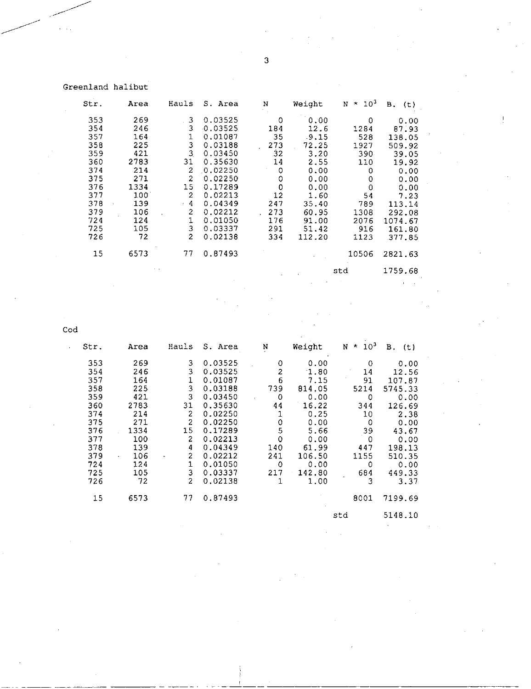## Greenland halibut

| Str. | Area          | Hauls          | S. Area | N   | Weight | $*103$<br>N | в.<br>(t) |
|------|---------------|----------------|---------|-----|--------|-------------|-----------|
| 353  | 269           | 3              | 0.03525 | 0   | 0.00   | 0           | 0.00      |
| 354  | 246           | 3              | 0.03525 | 184 | 12.6   | 1284        | 87.93     |
| 357  | 164           | 1              | 0.01087 | 35  | .9.15  | 528         | 138.05    |
| 358  | 225           | 3              | 0.03188 | 273 | 72.25  | 1927        | 509.92    |
| 359  | 421           | 3              | 0.03450 | 32  | 3.20   | 390         | 39.05     |
| 360  | 2783          | 31             | 0.35630 | 14  | 2.55   | 110         | 19.92     |
| 374  | 214           | $\overline{c}$ | 0.02250 | 0   | 0.00   | 0           | 0.00      |
| 375  | 271           | $\overline{a}$ | 0.02250 | 0   | 0.00   | 0           | 0.00      |
| 376  | 1334          | 15             | 0.17289 | 0   | 0.00   | 0           | 0.00      |
| 377  | $100^{\circ}$ | $\overline{2}$ | 0.02213 | 12  | 1.60   | 54          | 7.23      |
| 378  | 139           | $-4$           | 0.04349 | 247 | 35.40  | 789         | 113.14    |
| 379  | 106           | 2              | 0.02212 | 273 | 60.95  | 1308        | 292.08    |
| 724  | 124           | 1              | 0.01050 | 176 | 91.00  | 2076        | 1074.67   |
| 725  | 105           | 3              | 0.03337 | 291 | 51.42  | 916         | 161.80    |
| 726  | 72            | $\overline{c}$ | 0.02138 | 334 | 112.20 | 1123        | .377.85   |
| 15   | 6573          | 77             | 0.87493 |     |        | 10506       | 2821.63   |
|      |               |                |         |     |        | std         | 1759.68   |

Cod  $\overline{a}$ 

Ŷ.

| Str. | Area | Hauls                                | S. Area | N            | Weight | 10 <sup>3</sup><br>$\pmb{\kappa}$<br>N | В.<br>(t) |
|------|------|--------------------------------------|---------|--------------|--------|----------------------------------------|-----------|
| 353  | 269  | 3                                    | 0.03525 | 0            | 0.00   | $\mathbf 0$                            | 0.00      |
| 354  | 246  | 3                                    | 0.03525 | 2            | 1.80   | 14                                     | 12.56     |
| 357  | 164  | 1                                    | 0.01087 | 6            | 7.15   | 91                                     | 107.87    |
| 358  | 225  | 3                                    | 0.03188 | 739          | 814.05 | 5214                                   | 5745.33   |
| 359  | 421  | 3                                    | 0.03450 | 0<br>k.      | 0.00   | 0                                      | 0.00      |
| 360  | 2783 | 31                                   | 0.35630 | 44           | 16.22  | 344                                    | 126.69    |
| 374  | 214  | $\overline{2}$                       | 0.02250 | $\mathbf 1$  | 0.25   | 10                                     | 2.38      |
| 375  | 271  | $\overline{c}$                       | 0.02250 | 0            | 0.00   | 0                                      | 0.00      |
| 376  | 1334 | 15                                   | 0.17289 | 5            | 5.66   | 39                                     | 43.67     |
| 377  | 100  | $\overline{\mathbf{c}}$              | 0.02213 | 0            | 0.00   | 0                                      | 0.00      |
| 378  | 139  | 4                                    | 0.04349 | 140          | 61.99  | 447                                    | 198.13    |
| 379  | 106  | $\overline{2}$<br>$\bar{\mathbf{r}}$ | 0.02212 | 241          | 106.50 | 1155                                   | 510.35    |
| 724  | 124  | 1                                    | 0.01050 | $\circ$      | 0.00   | 0                                      | 0.00      |
| 725  | 105  | 3                                    | 0.03337 | 217          | 142.80 | 684                                    | 449.33    |
| 726  | 72   | $\overline{c}$                       | 0.02138 | $\mathbf{1}$ | 1.00   | 3                                      | 3.37      |
| 15   | 6573 | 77                                   | 0.87493 |              |        | 8001                                   | 7199.69   |
|      |      |                                      |         |              |        | std                                    | 5148.10   |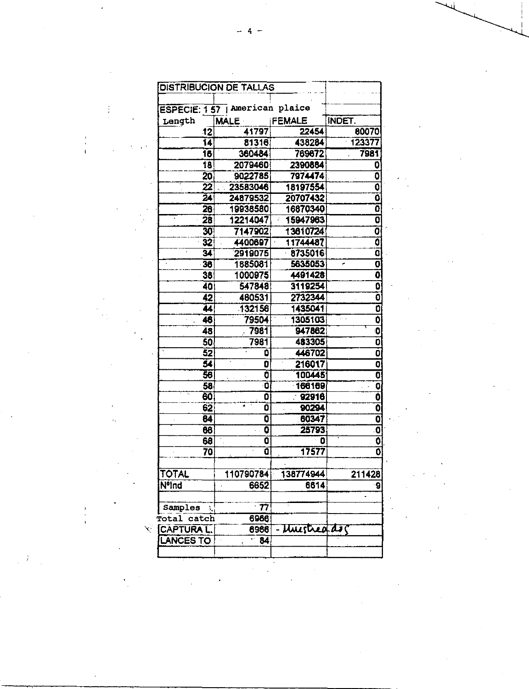| ESPECIE: 157   American plaice |                          |               |                           |
|--------------------------------|--------------------------|---------------|---------------------------|
| Length                         | <b>MALE</b>              | <b>FEMALE</b> | INDET.                    |
| 12                             | 41797                    | 22454         | 80070                     |
| $\overline{14}$                | 81316                    | 438284        | 123377                    |
| 16                             | 360484                   | 769672        | 7981                      |
| 18                             | 2079460                  | 2390884       | 0                         |
| 20                             | 9022785                  | 7974474       | 0                         |
| 22                             | 23583046                 | 18197554      | $\overline{\mathbf{o}}$   |
| $\overline{24}$                | 24879532                 | 20707432      | Ō                         |
| 26                             | 19938580                 | 16870340      | Ō                         |
| 28                             | 12214047                 | 15947963      | 0                         |
| 30 <sup>°</sup>                | 7147902                  | 13610724      | 0                         |
| 32                             | 4400697                  | 11744487      | $\overline{\mathfrak{o}}$ |
| 34                             | 2919075                  | 8735016       | O                         |
| 36                             | 1885081                  | 5635053       | 0<br>۰                    |
| 38                             | 1000975                  | 4491428       | $\overline{\mathbf{0}}$   |
| 40                             | 547848                   | 3119254       | $\overline{\mathbf{0}}$   |
| $\overline{42}$                | 460531                   | 2732344       | ō                         |
| 44                             | 132156                   | 1435041       | $\mathbf{0}$              |
| 46                             | 79504                    | 1305103       | 0                         |
| 48                             | 7981                     | 947862        | O                         |
| 50                             | 7981                     | 483305        | 0                         |
| 52                             | ٥                        | 446702        | Ō                         |
| 54                             | O                        | 216017        | $\overline{0}$            |
| 56                             | Ō                        | 100445        | $\overline{\mathbf{0}}$   |
| 58                             | õ                        | 166169        | O                         |
| 60                             | Ō                        | $\div$ 92916  | $\overline{\mathbf{0}}$   |
| 62                             | Ō                        | 90294         | $\ddot{\mathbf{0}}$       |
| 64                             | Ō                        | 60347         | $\mathbf{0}$              |
| 66                             | Ő                        | 25793         | O                         |
| 68                             | $\overline{\mathbf{0}}$  | $\bullet$     | $\overline{\mathbf{0}}$   |
| 70                             | õ                        | 17577         | 0                         |
|                                |                          |               |                           |
| TOTAL                          | 110790784                | 138774944     | 211428                    |
| NºInd                          | 6652                     | 6614          |                           |
| Samples                        | $\overline{\mathbf{77}}$ |               |                           |
| Total catch                    | 6966                     |               |                           |
| <b>EXPTURAL</b>                | 8966                     | Unistreads    |                           |
| <b>LANCES TO</b>               | $-84$                    |               |                           |
|                                |                          |               |                           |
|                                |                          |               |                           |

 $\label{eq:2.1} \frac{1}{\sqrt{2\pi}}\int_{\mathbb{R}^3}\frac{1}{\sqrt{2\pi}}\left(\frac{1}{\sqrt{2\pi}}\right)^2\frac{dx}{\sqrt{2\pi}}\,.$ 

 $\label{eq:2} \frac{1}{\sqrt{2}}\sum_{i=1}^n\frac{1}{\sqrt{2}}\sum_{i=1}^n\frac{1}{\sqrt{2}}\sum_{i=1}^n\frac{1}{\sqrt{2}}\sum_{i=1}^n\frac{1}{\sqrt{2}}\sum_{i=1}^n\frac{1}{\sqrt{2}}\sum_{i=1}^n\frac{1}{\sqrt{2}}\sum_{i=1}^n\frac{1}{\sqrt{2}}\sum_{i=1}^n\frac{1}{\sqrt{2}}\sum_{i=1}^n\frac{1}{\sqrt{2}}\sum_{i=1}^n\frac{1}{\sqrt{2}}\sum_{i=1}^n\frac{1$ 

 $\mathcal{A}_{\mathcal{A}}$ 

 $\hat{\mathcal{A}}$ 

 $\mathcal{A}^{\mathcal{A}}$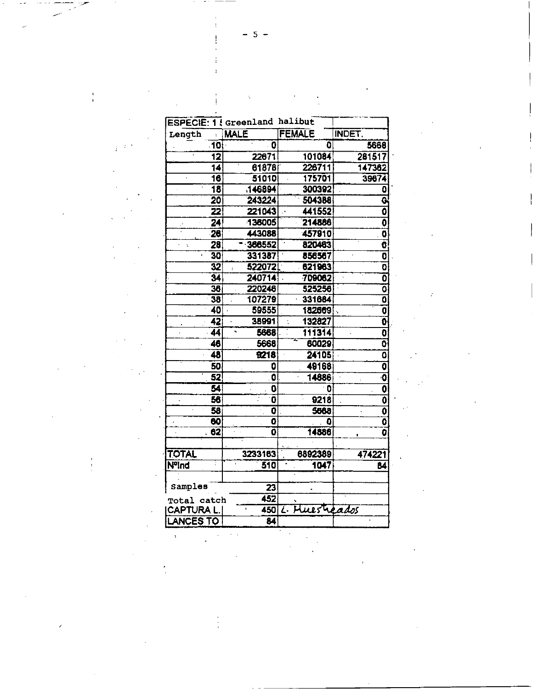|   | <b>ESPECIE: 1 ! Greenland halibut</b> |                           |                                       |                                     |
|---|---------------------------------------|---------------------------|---------------------------------------|-------------------------------------|
|   | Length                                | <b>MALE</b>               | <b>FEMALE</b>                         | <b>INDET.</b>                       |
| ÷ | 10                                    | $\overline{\phantom{a}}$  | 0                                     | 5668                                |
|   | $\overline{12}$                       | 22671                     | 101084                                | 281517                              |
|   | 14                                    | 61878                     | 226711                                | 147382                              |
|   | $\overline{16}$<br>à,                 | 51010                     | 175701                                | 39674                               |
|   | $\overline{a}$                        | 146894                    | 300392                                | $\overline{\mathbf{0}}$             |
|   | $\overline{20}$                       | 243224                    | 504388                                | ¢                                   |
|   | 22                                    | 221043                    | 441552<br>$\mathcal{L}^{\mathcal{A}}$ | $\overline{\mathfrak{o}}$           |
|   | $\overline{24}$                       | 136005                    | 214886                                | $\overline{\mathfrak{o}}$           |
|   | 26                                    | 443088                    | 457910                                | $\overline{\mathbf{0}}$             |
|   | 28<br>r i s                           | 366552<br>۰               | 820463                                | $\overline{\mathbf{c}}$             |
|   | 30                                    | 331387                    | 856567                                | $\overline{\mathbf{0}}$             |
|   | $\overline{32}$                       | 522072                    | 621963                                | $\frac{\overline{0}}{\overline{0}}$ |
|   | $\overline{34}$                       | 240714                    | 709062                                |                                     |
|   | 36                                    | 220246                    | 525256                                | $\overline{0}$                      |
|   | 38                                    | 107279                    | 331684                                | ត                                   |
|   | 40                                    | 59555                     | 182669                                | $\overline{\mathbf{0}}$             |
|   | 42                                    | 38991                     | 132827                                | $\overline{\mathbf{0}}$             |
|   | 44                                    | 5668                      | 111314                                | $\overline{\mathbf{0}}$             |
|   | 46                                    | 5668                      | 60029                                 | $\overline{\mathfrak{o}}$           |
|   | 48                                    | 9218                      | 24105                                 | $\overline{\mathfrak{o}}$           |
|   | 50                                    | 0                         | 49168                                 | $\overline{\mathbf{0}}$             |
|   | 52                                    | Ö                         | 14886                                 | ା                                   |
|   | $\overline{\mathbf{54}}$              | $\mathbf 0$               | $\mathbf{0}$                          | $\overline{\mathbf{0}}$             |
|   | 56                                    | $\overline{\mathbf{0}}$   | 9218                                  | $\overline{\mathfrak{o}}$           |
|   | $\overline{58}$                       | $\overline{\mathbf{0}}$   | 5668                                  | $\overline{\mathbf{0}}$             |
|   | $\overline{60}$                       | $\overline{\mathbf{0}}$   | 0                                     | $\overline{\mathbf{c}}$             |
|   | $\overline{62}$                       | $\overline{\mathfrak{o}}$ | 14886                                 | $\overline{0}$                      |
|   | <b>TOTAL</b>                          | 3233163                   | 6892389                               | 474221                              |
|   | <b>NºInd</b>                          | 510                       | 1047                                  | 84                                  |
|   |                                       |                           |                                       |                                     |
|   | Samples                               | 23                        |                                       |                                     |
|   | Total catch                           | $\overline{452}$          | Ñ                                     |                                     |
|   | <b>CAPTURA L</b>                      |                           | 450 L. Huesticados                    |                                     |
|   | <b>ANCES TO</b>                       | $\overline{\mathbf{z}}$   |                                       |                                     |
|   |                                       |                           |                                       |                                     |
|   |                                       |                           |                                       |                                     |
|   |                                       |                           |                                       |                                     |

 $-5 -$ 

 $\mathcal{L}^{\text{max}}_{\text{max}}$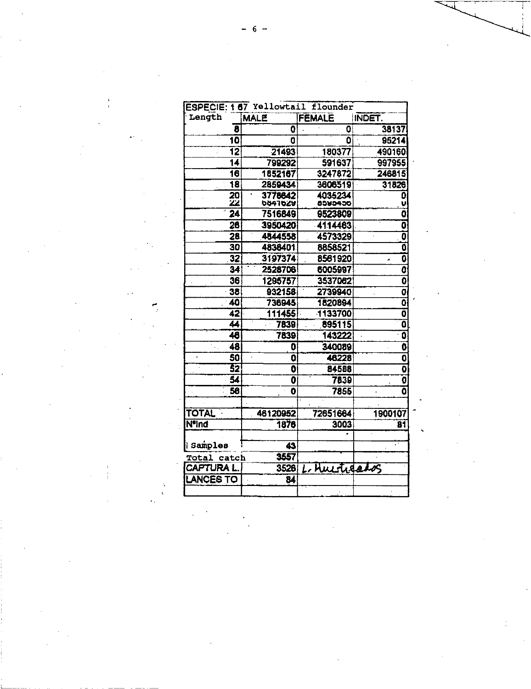| Length                   | <b>MALE</b>             | <b>FEMALE</b>     | INDET.                    |
|--------------------------|-------------------------|-------------------|---------------------------|
| 8                        | 0                       | $\mathbf 0$       | 38137                     |
| 10                       | $\mathbf{O}$            | $\mathbf{0}$      | 95214                     |
| $\overline{12}$          | 21493                   | 180377            | 490160                    |
| 14                       | 799292                  | 591637            | 997955                    |
| 16                       | 1852167                 | 3247872           | 246815                    |
| $\overline{18}$          | 2859434                 | 36065191          | 31826                     |
| 20                       | 3778642                 | 4035234           | Đ                         |
| ZZ                       | <b>POSTPOO</b>          | 0090400           |                           |
| 24                       | 7516849                 | 9523809           | 0                         |
| 26                       | 3950420                 | 4114463           | ٥                         |
| $\overline{28}$          | 4844558                 | 4573329           | $\overline{\mathfrak{o}}$ |
| 30                       | 4838401                 | 8858521           | Ō                         |
| 32                       | 3197374                 | 8561920           | $\overline{\mathbf{0}}$   |
| 34                       | 2528706                 | 6005997           | O                         |
| 36                       | 1295757                 | 3537062           | $\overline{\textbf{0}}$   |
| 38                       | 932158                  | 2739940           | $\overline{\mathbf{o}}$   |
| 40                       | 736945                  | 1820894           | $\overline{\mathfrak{o}}$ |
| 42                       | 111455                  | 1133700           | ō                         |
| 44                       | 7839                    | 895115            | õ                         |
| 48                       | 7839                    | 143222            | Ō                         |
| 48                       | O                       | 340089            | $\overline{\mathbf{0}}$   |
| 50<br>$\bullet$          | 0                       | 46228             | $\overline{\mathbf{0}}$   |
| $\overline{\textbf{52}}$ | $\overline{\mathbf{o}}$ | 84588             | $\overline{\mathfrak{o}}$ |
| 54                       | $\overline{\mathbf{0}}$ | 7839              | Ő                         |
| 56                       | $\ddot{\mathbf{0}}$     | 7855              | Ō                         |
| <b>TOTAL</b>             | 46120952                | 72651664          | 1900107                   |
| <b>NºInd</b>             | 1876                    | 3003              | $\overline{\mathbf{8}}$ 1 |
|                          |                         |                   |                           |
| Samples                  | 43                      |                   |                           |
| Total catch              | 3557                    |                   |                           |
| CAPTURA L.               | 3526                    | Huistreatos<br>L. |                           |
| LANCES TO                |                         |                   |                           |

 $\mathcal{L}^{\text{max}}_{\text{max}}$  and  $\mathcal{L}^{\text{max}}_{\text{max}}$ 

 $\label{eq:2.1} \frac{1}{\sqrt{2}}\left(\frac{1}{\sqrt{2}}\right)^{2} \left(\frac{1}{\sqrt{2}}\right)^{2} \left(\frac{1}{\sqrt{2}}\right)^{2} \left(\frac{1}{\sqrt{2}}\right)^{2} \left(\frac{1}{\sqrt{2}}\right)^{2} \left(\frac{1}{\sqrt{2}}\right)^{2} \left(\frac{1}{\sqrt{2}}\right)^{2} \left(\frac{1}{\sqrt{2}}\right)^{2} \left(\frac{1}{\sqrt{2}}\right)^{2} \left(\frac{1}{\sqrt{2}}\right)^{2} \left(\frac{1}{\sqrt{2}}\right)^{2} \left(\$ 

 $\mathcal{F}_{\mathcal{G}}$ 

 $\mathcal{L}^{\text{max}}_{\text{max}}$ 

 $\label{eq:2.1} \mathcal{L}(\mathcal{L}(\mathcal{L})) = \mathcal{L}(\mathcal{L}(\mathcal{L})) = \mathcal{L}(\mathcal{L}(\mathcal{L})) = \mathcal{L}(\mathcal{L}(\mathcal{L}))$ 

 $6 -$ 

 $\label{eq:2.1} \frac{1}{\sqrt{2}}\int_{\mathbb{R}^3}\frac{1}{\sqrt{2}}\left(\frac{1}{\sqrt{2}}\right)^2\frac{1}{\sqrt{2}}\left(\frac{1}{\sqrt{2}}\right)^2\frac{1}{\sqrt{2}}\left(\frac{1}{\sqrt{2}}\right)^2\frac{1}{\sqrt{2}}\left(\frac{1}{\sqrt{2}}\right)^2\frac{1}{\sqrt{2}}\left(\frac{1}{\sqrt{2}}\right)^2\frac{1}{\sqrt{2}}\frac{1}{\sqrt{2}}\frac{1}{\sqrt{2}}\frac{1}{\sqrt{2}}\frac{1}{\sqrt{2}}\frac{1}{\sqrt{2}}$ 

 $\sim 10^{-1}$ 

 $\frac{1}{\sqrt{2}}\left(\frac{1}{\sqrt{2}}\right)^{2}=\frac{1}{\sqrt{2}}\left(\frac{1}{\sqrt{2}}\right)^{2}=\frac{1}{\sqrt{2}}\left(\frac{1}{\sqrt{2}}\right)^{2}=\frac{1}{\sqrt{2}}\left(\frac{1}{\sqrt{2}}\right)^{2}=\frac{1}{\sqrt{2}}\left(\frac{1}{\sqrt{2}}\right)^{2}=\frac{1}{\sqrt{2}}\left(\frac{1}{\sqrt{2}}\right)^{2}=\frac{1}{\sqrt{2}}\left(\frac{1}{\sqrt{2}}\right)^{2}=\frac{1}{\sqrt{2}}\left(\frac{1}{\sqrt{2}}\right$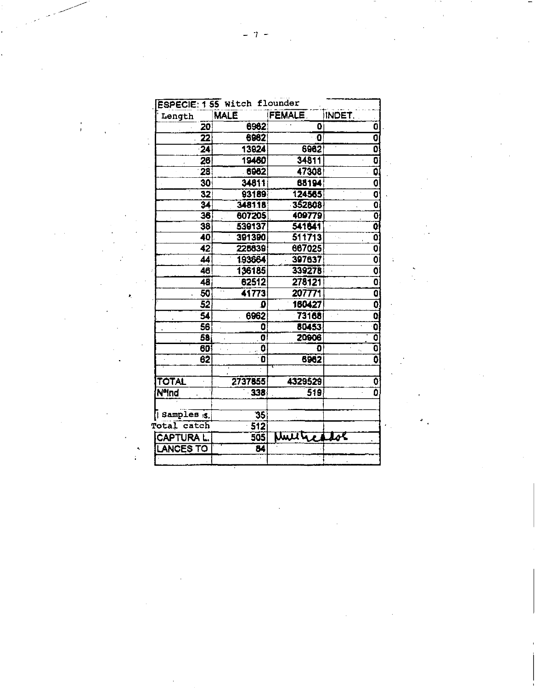| Length                          | <b>MALE</b>             | FEMALE.    | INDET. |                           |
|---------------------------------|-------------------------|------------|--------|---------------------------|
| 20                              | 6962                    | Ō          |        | 0                         |
| $\overline{22}$                 | 6962                    | O          |        | Ō                         |
| $\overline{24}$                 | 13924                   | 6962       |        | $\overline{\mathfrak{o}}$ |
| 26                              | 19480                   | 34811      |        | 0                         |
| 28                              | 6962                    | 47308      |        | 0,                        |
| 30                              | 34811                   | 68194      |        | Ō                         |
| 32                              | 93189                   | 124565     |        | 0                         |
| 34                              | 348118                  | 352808     |        | O                         |
| 36                              | 607205                  | 409779     |        | Ō                         |
| 38                              | 539137                  | 541641     |        | $\overline{\mathfrak{o}}$ |
| 40                              | 391390                  | 511713     | ÷.     | Ő.                        |
| $\overline{42}$                 | 228839                  | 667025     |        | O                         |
| 44                              | 193664                  | 397637     |        | 0                         |
| 46                              | 136185                  | 339278     |        | Ō                         |
| 48                              | 62512                   | 278121     |        | O                         |
| $\overline{\mathbf{S}}$         | 41773                   | 207771     |        | O                         |
| 52                              | Ω                       | 160427     |        | Ö                         |
| 54                              | 6962                    | 73168      |        | $\overline{\mathbf{0}}$   |
| 56                              | ٥                       | 80453      |        | 0                         |
| 58                              | $\overline{\mathbf{o}}$ | 20906      |        | ō                         |
| 60                              | 0                       | o          |        | Ö                         |
| 62                              | 0                       | 6962       |        | $\overline{\mathbf{0}}$   |
|                                 |                         |            |        |                           |
| <b>TOTAL</b>                    | 2737855                 | 4329529    |        | 0                         |
| <b>NºInd</b>                    | 338                     | 519        |        | 0                         |
|                                 |                         |            |        |                           |
| $\sqrt{ }$ samples $\sqrt{s}$ . | $\overline{35}$         |            |        |                           |
| Total catch                     | 512                     |            |        |                           |
| <b>CAPTURA L.</b>               | 505                     | Multicator |        |                           |
| <b>LANCES TO</b>                | 84                      |            |        |                           |

 $\label{eq:2.1} \frac{1}{\sqrt{2}}\int_{\mathbb{R}^3}\frac{1}{\sqrt{2}}\left(\frac{1}{\sqrt{2}}\right)^2\left(\frac{1}{\sqrt{2}}\right)^2\left(\frac{1}{\sqrt{2}}\right)^2\left(\frac{1}{\sqrt{2}}\right)^2\left(\frac{1}{\sqrt{2}}\right)^2\left(\frac{1}{\sqrt{2}}\right)^2\left(\frac{1}{\sqrt{2}}\right)^2\left(\frac{1}{\sqrt{2}}\right)^2\left(\frac{1}{\sqrt{2}}\right)^2\left(\frac{1}{\sqrt{2}}\right)^2\left(\frac{1}{\sqrt{2}}\right)^2\left(\frac$ 

 $\label{eq:2.1} \frac{1}{\sqrt{2}}\int_{\mathbb{R}^3}\frac{1}{\sqrt{2}}\left(\frac{1}{\sqrt{2}}\right)^2\frac{1}{\sqrt{2}}\left(\frac{1}{\sqrt{2}}\right)^2\frac{1}{\sqrt{2}}\left(\frac{1}{\sqrt{2}}\right)^2.$ 

 $\label{eq:2.1} \frac{1}{\sqrt{2}}\int_{\mathbb{R}^3}\frac{1}{\sqrt{2}}\left(\frac{1}{\sqrt{2}}\right)^2\frac{1}{\sqrt{2}}\left(\frac{1}{\sqrt{2}}\right)^2\frac{1}{\sqrt{2}}\left(\frac{1}{\sqrt{2}}\right)^2\frac{1}{\sqrt{2}}\left(\frac{1}{\sqrt{2}}\right)^2\frac{1}{\sqrt{2}}\left(\frac{1}{\sqrt{2}}\right)^2\frac{1}{\sqrt{2}}\frac{1}{\sqrt{2}}\frac{1}{\sqrt{2}}\frac{1}{\sqrt{2}}\frac{1}{\sqrt{2}}\frac{1}{\sqrt{2}}$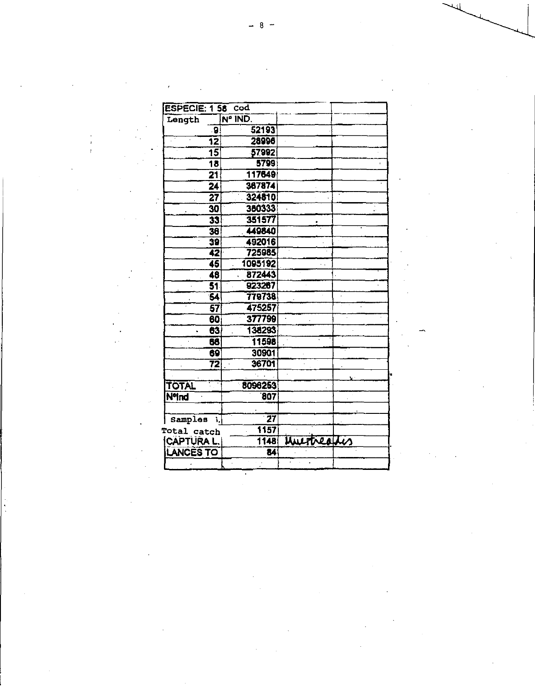| ESPECIE: 1 58 Cod      |                        |                           |  |
|------------------------|------------------------|---------------------------|--|
| Length                 | Nº IND.                |                           |  |
| -9.                    | 52193                  |                           |  |
| 12                     | 28996                  | $\sim$                    |  |
| $\overline{15}$        | 57992                  |                           |  |
| 18                     | 5799                   |                           |  |
| $\overline{21}$        | 117649                 |                           |  |
| $\overline{24}$        | 367874                 |                           |  |
| 27                     | 324810                 |                           |  |
| 30                     | 380333                 |                           |  |
| $\overline{33}$        | 351577                 |                           |  |
| 36                     | 449840                 |                           |  |
| 39                     | 492016                 |                           |  |
| 42                     | 725985                 |                           |  |
| 45                     | 1095192                | $\ddot{\phantom{1}}$ .    |  |
| 48                     | 872443<br>$\mathbf{v}$ |                           |  |
| $\overline{51}$        | 923267                 |                           |  |
| 54                     | 779738                 |                           |  |
| 57                     | 475257                 |                           |  |
| 60                     | 377799                 |                           |  |
| 63                     | 138293                 |                           |  |
| 66                     | 11598                  |                           |  |
| 69                     | 30901                  |                           |  |
| 72<br>$\bar{\Gamma}$   | 36701                  |                           |  |
|                        |                        |                           |  |
| TOTAL                  | 8096253                |                           |  |
| NoInd                  | $\overline{807}$       |                           |  |
|                        |                        |                           |  |
| <i>Samples</i><br>- 5. | $\overline{27}$        |                           |  |
| Total catch            | 1157                   |                           |  |
| CAPTURA L.             | 1148                   | <b>WILTNeather</b>        |  |
| LANCES TO              | 84                     |                           |  |
|                        |                        | $\sim$<br>$\hat{\bullet}$ |  |

 $\label{eq:2} \mathcal{L} = \mathcal{L} \left( \mathcal{L} \right) \left( \mathcal{L} \right) \left( \mathcal{L} \right) \left( \mathcal{L} \right) \left( \mathcal{L} \right)$ 

 $\mathcal{L}^{\text{max}}_{\text{max}}$  and  $\mathcal{L}^{\text{max}}_{\text{max}}$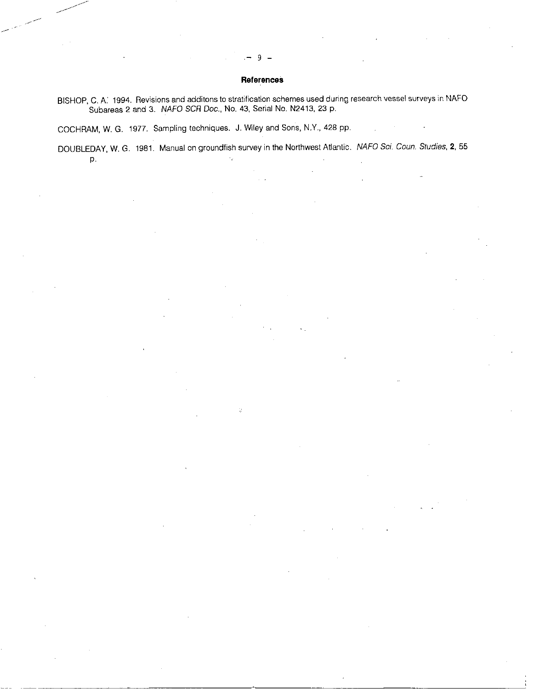## **References**

9

BISHOP, C. A. 1994. Revisions and additons to stratification schemes used during research vessel surveys in NAFO Subareas 2 and 3. NAFO SCR Doc., No. 43, Serial No. N2413, 23 p.

COCHRAM, W. G. 1977. Sampling techniques. *J.* Wiley and Sons, N.Y., 428 pp.

DOUBLEDAY, W. G. 1981. Manual on groundfish survey in the Northwest Atlantic. *NAFO Sci. Coun, Studies,* **2,** 55 P.